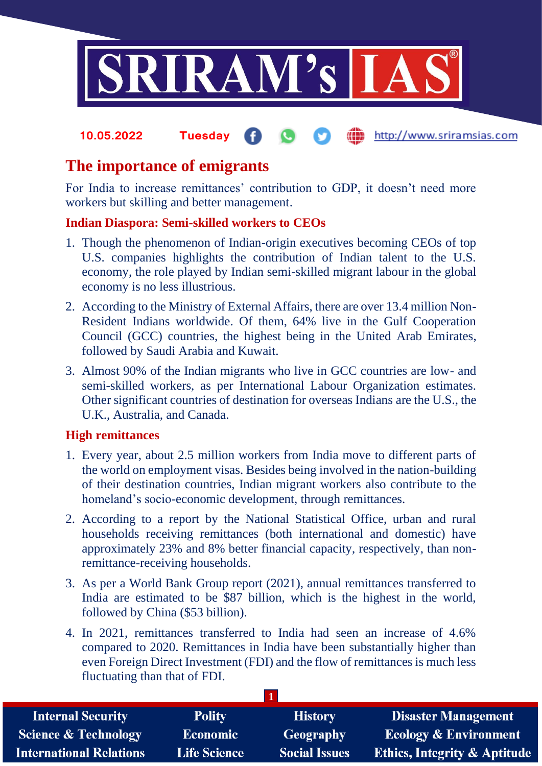

#### **fin** http://www.sriramsias.com **10.05.2022 Tuesday**

# **The importance of emigrants**

For India to increase remittances' contribution to GDP, it doesn't need more workers but skilling and better management.

## **Indian Diaspora: Semi-skilled workers to CEOs**

- 1. Though the phenomenon of Indian-origin executives becoming CEOs of top U.S. companies highlights the contribution of Indian talent to the U.S. economy, the role played by Indian semi-skilled migrant labour in the global economy is no less illustrious.
- 2. According to the Ministry of External Affairs, there are over 13.4 million Non-Resident Indians worldwide. Of them, 64% live in the Gulf Cooperation Council (GCC) countries, the highest being in the United Arab Emirates, followed by Saudi Arabia and Kuwait.
- 3. Almost 90% of the Indian migrants who live in GCC countries are low- and semi-skilled workers, as per International Labour Organization estimates. Other significant countries of destination for overseas Indians are the U.S., the U.K., Australia, and Canada.

#### **High remittances**

- 1. Every year, about 2.5 million workers from India move to different parts of the world on employment visas. Besides being involved in the nation-building of their destination countries, Indian migrant workers also contribute to the homeland's socio-economic development, through remittances.
- 2. According to a report by the National Statistical Office, urban and rural households receiving remittances (both international and domestic) have approximately 23% and 8% better financial capacity, respectively, than nonremittance-receiving households.
- 3. As per a World Bank Group report (2021), annual remittances transferred to India are estimated to be \$87 billion, which is the highest in the world, followed by China (\$53 billion).
- 4. In 2021, remittances transferred to India had seen an increase of 4.6% compared to 2020. Remittances in India have been substantially higher than even Foreign Direct Investment (FDI) and the flow of remittances is much less fluctuating than that of FDI.

| <b>Internal Security</b>        | <b>Polity</b>       | <b>History</b>       | <b>Disaster Management</b>              |  |  |
|---------------------------------|---------------------|----------------------|-----------------------------------------|--|--|
| <b>Science &amp; Technology</b> | <b>Economic</b>     | <b>Geography</b>     | <b>Ecology &amp; Environment</b>        |  |  |
| <b>International Relations</b>  | <b>Life Science</b> | <b>Social Issues</b> | <b>Ethics, Integrity &amp; Aptitude</b> |  |  |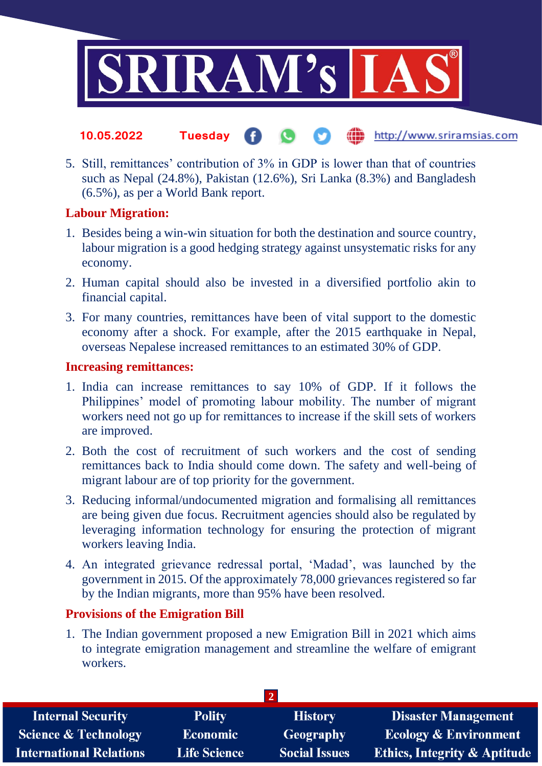

- the http://www.sriramsias.com **10.05.2022 Tuesday**
- 5. Still, remittances' contribution of 3% in GDP is lower than that of countries such as Nepal (24.8%), Pakistan (12.6%), Sri Lanka (8.3%) and Bangladesh (6.5%), as per a World Bank report.

#### **Labour Migration:**

- 1. Besides being a win-win situation for both the destination and source country, labour migration is a good hedging strategy against unsystematic risks for any economy.
- 2. Human capital should also be invested in a diversified portfolio akin to financial capital.
- 3. For many countries, remittances have been of vital support to the domestic economy after a shock. For example, after the 2015 earthquake in Nepal, overseas Nepalese increased remittances to an estimated 30% of GDP.

## **Increasing remittances:**

- 1. India can increase remittances to say 10% of GDP. If it follows the Philippines' model of promoting labour mobility. The number of migrant workers need not go up for remittances to increase if the skill sets of workers are improved.
- 2. Both the cost of recruitment of such workers and the cost of sending remittances back to India should come down. The safety and well-being of migrant labour are of top priority for the government.
- 3. Reducing informal/undocumented migration and formalising all remittances are being given due focus. Recruitment agencies should also be regulated by leveraging information technology for ensuring the protection of migrant workers leaving India.
- 4. An integrated grievance redressal portal, 'Madad', was launched by the government in 2015. Of the approximately 78,000 grievances registered so far by the Indian migrants, more than 95% have been resolved.

#### **Provisions of the Emigration Bill**

1. The Indian government proposed a new Emigration Bill in 2021 which aims to integrate emigration management and streamline the welfare of emigrant workers.

| <b>Polity</b>       | <b>History</b>       | <b>Disaster Management</b>              |  |  |  |
|---------------------|----------------------|-----------------------------------------|--|--|--|
| <b>Economic</b>     | <b>Geography</b>     | <b>Ecology &amp; Environment</b>        |  |  |  |
| <b>Life Science</b> | <b>Social Issues</b> | <b>Ethics, Integrity &amp; Aptitude</b> |  |  |  |
|                     |                      |                                         |  |  |  |